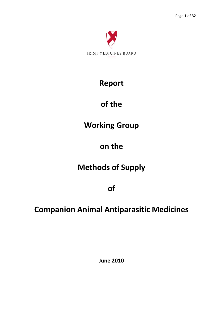

# **Report**

# **of the**

# **Working Group**

# **on the**

# **Methods of Supply**

**of**

# **Companion Animal Antiparasitic Medicines**

**June 2010**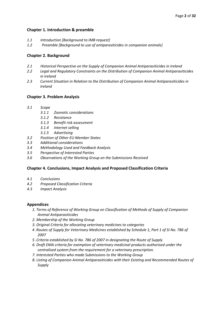## **Chapter 1. Introduction & preamble**

- *1.1 Introduction [Background to IMB request]*
- *1.2 Preamble [Background to use of antiparasiticides in companion animals]*

## **Chapter 2. Background**

- *2.1 Historical Perspective on the Supply of Companion Animal Antiparasiticides in Ireland*
- *2.2 Legal and Regulatory Constraints on the Distribution of Companion Animal Antiparasiticides in Ireland*
- *2.3 Current Situation in Relation to the Distribution of Companion Animal Antiparasiticides in Ireland*

## **Chapter 3. Problem Analysis**

- *3.1 Scope*
	- *3.1.1 Zoonotic considerations*
	- *3.1.2 Resistance*
	- *3.1.3 Benefit risk assessment*
	- *3.1.4 Internet selling*
	- *3.1.5 Advertising*
- *3.2 Position of Other EU Member States*
- *3.3 Additional considerations*
- *3.4 Methodology Used and Feedback Analysis*
- *3.5 Perspective of Interested Parties*
- *3.6 Observations of the Working Group on the Submissions Received*

## **Chapter 4. Conclusions, Impact Analysis and Proposed Classification Criteria**

- *4.1 Conclusions*
- *4.2 Proposed Classification Criteria*
- *4.3 Impact Analysis*

## **Appendices**

- *1. Terms of Reference of Working Group on Classification of Methods of Supply of Companion Animal Antiparasiticides*
- *2. Membership of the Working Group*
- *3. Original Criteria for allocating veterinary medicines to categories*
- *4 .Routes of Supply for Veterinary Medicines established by Schedule 1, Part 1 of SI No. 786 of 2007*
- *5 .Criteria established by SI No. 786 of 2007 in designating the Route of Supply*
- *6. Draft EMA criteria for exemption of veterinary medicinal products authorised under the centralised system from the requirement for a veterinary prescription.*
- *7. Interested Parties who made Submissions to the Working Group*
- *8. Listing of Companion Animal Antiparasiticides with their Existing and Recommended Routes of Supply*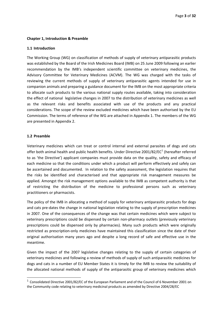#### <span id="page-2-0"></span>**Chapter 1, Introduction & Preamble**

#### **1.1 Introduction**

The Working Group (WG) on classification of methods of supply of veterinary antiparasitic products was established by the Board of the Irish Medicines Board (IMB) on 25 June 2009 following an earlier recommendation by the IMB's independent scientific committee on veterinary medicines, the Advisory Committee for Veterinary Medicines (ACVM). The WG was charged with the tasks of reviewing the current methods of supply of veterinary antiparasitic agents intended for use in companion animals and preparing a guidance document for the IMB on the most appropriate criteria to allocate such products to the various national supply routes available, taking into consideration the effect of national legislative changes in 2007 to the distribution of veterinary medicines as well as the relevant risks and benefits associated with use of the products and any practical considerations. The scope of the review excluded medicines which have been authorised by the EU Commission. The terms of reference of the WG are attached in Appendix 1. The members of the WG are presented in Appendix 2.

#### **1.2 Preamble**

Veterinary medicines which can treat or control internal and external parasites of dogs and cats offer both animal health and public health benefits. Under Directive 200[1](#page-2-0)/82/EC<sup>1</sup> (hereafter referred to as 'the Directive') applicant companies must provide data on the quality, safety and efficacy of each medicine so that the conditions under which a product will perform effectively and safely can be ascertained and documented. In relation to the safety assessment, the legislation requires that the risks be identified and characterised and that appropriate risk management measures be applied. Amongst the risk management options available to the IMB as competent authority is that of restricting the distribution of the medicine to professional persons such as veterinary practitioners or pharmacists.

The policy of the IMB in allocating a method of supply for veterinary antiparasitic products for dogs and cats pre‐dates the change in national legislation relating to the supply of prescription medicines in 2007. One of the consequences of the change was that certain medicines which were subject to veterinary prescriptions could be dispensed by certain non-pharmacy outlets (previously veterinary prescriptions could be dispensed only by pharmacies). Many such products which were originally restricted as prescription-only medicines have maintained this classification since the date of their original authorisation many years ago and despite a long record of safe and effective use in the meantime.

Given the impact of the 2007 legislative changes relating to the supply of certain categories of veterinary medicines and following a review of methods of supply of such antiparasitic medicines for dogs and cats in a number of EU Member States it is timely for the IMB to review the suitability of the allocated national methods of supply of the antiparasitic group of veterinary medicines which

<sup>&</sup>lt;sup>1</sup> Consolidated Directive 2001/82/EC of the European Parliament and of the Council of 6 November 2001 on the Community code relating to veterinary medicinal products as amended by Directive 2004/28/EC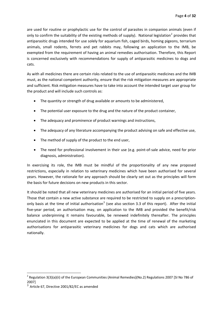<span id="page-3-0"></span>are used for routine or prophylactic use for the control of parasites in companion animals (even if only to confirm the suitability of the existing methods of supply). National legislation<sup>[2](#page-3-0)</sup> provides that antiparasitic drugs intended for use solely for aquarium fish, caged birds, homing pigeons, terrarium animals, small rodents, ferrets and pet rabbits may, following an application to the IMB, be exempted from the requirement of having an animal remedies authorisation. Therefore, this Report is concerned exclusively with recommendations for supply of antiparasitic medicines to dogs and cats.

As with all medicines there are certain risks related to the use of antiparasitic medicines and the IMB must, as the national competent authority, ensure that the risk mitigation measures are appropriate and sufficient. Risk mitigation measures have to take into account the intended target user group for the product and will include such controls as:

- The quantity or strength of drug available or amounts to be administered,
- The potential user exposure to the drug and the nature of the product container,
- The adequacy and prominence of product warnings and instructions,
- The adequacy of any literature accompanying the product advising on safe and effective use,
- The method of supply of the product to the end user,
- The need for professional involvement in their use (e.g. point-of-sale advice, need for prior diagnosis, administration).

In exercising its role, the IMB must be mindful of the proportionality of any new proposed restrictions, especially in relation to veterinary medicines which have been authorised for several years. However, the rationale for any approach should be clearly set out as the principles will form the basis for future decisions on new products in this sector.

It should be noted that all new veterinary medicines are authorised for an initial period of five years. Those that contain a new active substance are required to be restricted to supply on a prescription‐ only basis at the time of initial authorisation<sup>[3](#page-3-0)</sup> (see also section 3.3 of this report). After the initial five‐year period, an authorisation may, on application to the IMB and provided the benefit/risk balance underpinning it remains favourable, be renewed indefinitely thereafter. The principles enunciated in this document are expected to be applied at the time of renewal of the marketing authorisations for antiparasitic veterinary medicines for dogs and cats which are authorised nationally.

<sup>&</sup>lt;sup>2</sup> Regulation 3(3)(a)(ii) of the European Communities (Animal Remedies)(No.2) Regulations 2007 [SI No 786 of 2007]

<sup>3</sup> Article 67, Directive 2001/82/EC as amended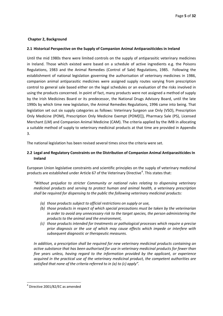#### <span id="page-4-0"></span>**Chapter 2, Background**

### **2.1 Historical Perspective on the Supply of Companion Animal Antiparasiticides in Ireland**

Until the mid 1980s there were limited controls on the supply of antiparasitic veterinary medicines in Ireland. Those which existed were based on a schedule of active ingredients e.g. the Poisons Regulations, 1983 and the Animal Remedies (Control of Sale) Regulations, 1985. Following the establishment of national legislation governing the authorisation of veterinary medicines in 1986, companion animal antiparasitic medicines were assigned supply routes varying from prescription control to general sale based either on the legal schedules or an evaluation of the risks involved in using the products concerned. In point of fact, many products were not assigned a method of supply by the Irish Medicines Board or its predecessor, the National Drugs Advisory Board, until the late 1990s by which time new legislation, the Animal Remedies Regulations, 1996 came into being. That legislation set out six supply categories as follows: Veterinary Surgeon use Only (VSO), Prescription Only Medicine (POM), Prescription Only Medicine Exempt (POM[E]), Pharmacy Sale (PS), Licensed Merchant (LM) and Companion Animal Medicine (CAM). The criteria applied by the IMB in allocating a suitable method of supply to veterinary medicinal products at that time are provided in Appendix 3.

The national legislation has been revised several times since the criteria were set.

## **2.2 Legal and Regulatory Constraints on the Distribution of Companion Animal Antiparasiticides In Ireland**

European Union legislative constraints and scientific principles on the supply of veterinary medicinal products are established under Article 67 of the Veterinary Directive<sup>[4](#page-4-0)</sup>. This states that:

*"Without prejudice to stricter Community or national rules relating to dispensing veterinary medicinal products and serving to protect human and animal health, a veterinary prescription shall be required for dispensing to the public the following veterinary medicinal products:* 

- *(a) those products subject to official restrictions on supply or use,*
- *(b) those products in respect of which special precautions must be taken by the veterinarian in order to avoid any unnecessary risk to the target species, the person administering the products to the animal and the environment,*
- *(c) those products intended for treatments or pathological processes which require a precise prior diagnosis or the use of which may cause effects which impede or interfere with subsequent diagnostic or therapeutic measures.*

*In addition, a prescription shall be required for new veterinary medicinal products containing an active substance that has been authorised for use in veterinary medicinal products for fewer than five years unless, having regard to the information provided by the applicant, or experience acquired in the practical use of the veterinary medicinal product, the competent authorities are satisfied that none of the criteria referred to in (a) to (c) apply".*

  $4$  Directive 2001/82/EC as amended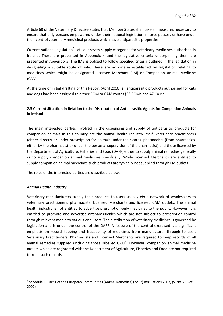<span id="page-5-0"></span>Article 68 of the Veterinary Directive states that Member States shall take all measures necessary to ensure that only persons empowered under their national legislation in force possess or have under their control veterinary medicinal products which have antiparasitic properties.

Current national legislation<sup>[5](#page-5-0)</sup> sets out seven supply categories for veterinary medicines authorised in Ireland. These are presented in Appendix 4 and the legislative criteria underpinning them are presented in Appendix 5. The IMB is obliged to follow specified criteria outlined in the legislation in designating a suitable route of sale. There are no criteria established by legislation relating to medicines which might be designated Licensed Merchant (LM) or Companion Animal Medicine (CAM).

At the time of initial drafting of this Report (April 2010) all antiparasitic products authorised for cats and dogs had been assigned to either POM or CAM routes (53 POMs and 47 CAMs).

## **2.3 Current Situation in Relation to the Distribution of Antiparasitic Agents for Companion Animals in Ireland**

The main interested parties involved in the dispensing and supply of antiparasitic products for companion animals in this country are the animal health industry itself, veterinary practitioners (either directly or under prescription for animals under their care), pharmacists (from pharmacies, either by the pharmacist or under the personal supervision of the pharmacist) and those licensed by the Department of Agriculture, Fisheries and Food (DAFF) either to supply animal remedies generally or to supply companion animal medicines specifically. While Licensed Merchants are entitled to supply companion animal medicines such products are typically not supplied through LM outlets.

The roles of the interested parties are described below.

#### *Animal Health Industry*

Veterinary manufacturers supply their products to users usually *via* a network of wholesalers to veterinary practitioners, pharmacists, Licensed Merchants and licensed CAM outlets. The animal health industry is not entitled to advertise prescription-only medicines to the public. However, it is entitled to promote and advertise antiparasiticides which are not subject to prescription‐control through relevant media to various end users. The distribution of veterinary medicines is governed by legislation and is under the control of the DAFF. A feature of the control exercised is a significant emphasis on record keeping and traceability of medicines from manufacturer through to user. Veterinary Practitioners, Pharmacists and Licensed Merchants are required to keep records of all animal remedies supplied (including those labelled CAM). However, companion animal medicine outlets which are registered with the Department of Agriculture, Fisheries and Food are not required to keep such records.

<sup>&</sup>lt;sup>5</sup> Schedule 1, Part 1 of the European Communities (Animal Remedies) (no. 2) Regulations 2007, (SI No. 786 of 2007)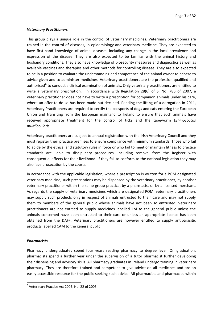#### <span id="page-6-0"></span>*Veterinary Practitioners*

This group plays a unique role in the control of veterinary medicines. Veterinary practitioners are trained in the control of diseases, in epidemiology and veterinary medicine. They are expected to have first-hand knowledge of animal diseases including any change in the local prevalence and expression of the disease. They are also expected to be familiar with the animal history and husbandry conditions. They also have knowledge of biosecurity measures and diagnostics as well as available vaccines and therapies and other methods for controlling disease. They are also expected to be in a position to evaluate the understanding and competence of the animal owner to adhere to advice given and to administer medicines. Veterinary practitioners are the profession qualified and authorised $6$  to conduct a clinical examination of animals. Only veterinary practitioners are entitled to write a veterinary prescription. In accordance with Regulation 28(6) of SI No. 786 of 2007, a veterinary practitioner does not have to write a prescription for companion animals under his care, where an offer to do so has been made but declined. Pending the lifting of a derogation in 2011, Veterinary Practitioners are required to certify the passports of dogs and cats entering the European Union and transiting from the European mainland to Ireland to ensure that such animals have received appropriate treatment for the control of ticks and the tapeworm *Echinococcus multilocularis*.

Veterinary practitioners are subject to annual registration with the Irish Veterinary Council and they must register their practice premises to ensure compliance with minimum standards. Those who fail to abide by the ethical and statutory rules in force or who fail to meet or maintain fitness to practice standards are liable to disciplinary procedures, including removal from the Register with consequential effects for their livelihood. If they fail to conform to the national legislation they may also face prosecution by the courts.

In accordance with the applicable legislation, where a prescription is written for a POM designated veterinary medicine, such prescriptions may be dispensed by the veterinary practitioner, by another veterinary practitioner within the same group practice, by a pharmacist or by a licensed merchant. As regards the supply of veterinary medicines which are designated POM, veterinary practitioners may supply such products only in respect of animals entrusted to their care and may not supply them to members of the general public whose animals have not been so entrusted. Veterinary practitioners are not entitled to supply medicines labelled LM to the general public unless the animals concerned have been entrusted to their care or unless an appropriate licence has been obtained from the DAFF. Veterinary practitioners are however entitled to supply antiparasitic products labelled CAM to the general public.

#### *Pharmacists*

Pharmacy undergraduates spend four years reading pharmacy to degree level. On graduation, pharmacists spend a further year under the supervision of a tutor pharmacist further developing their dispensing and advisory skills. All pharmacy graduates in Ireland undergo training in veterinary pharmacy. They are therefore trained and competent to give advice on all medicines and are an easily accessible resource for the public seeking such advice. All pharmacists and pharmacies within

<sup>6</sup> Veterinary Practice Act 2005, No. 22 of 2005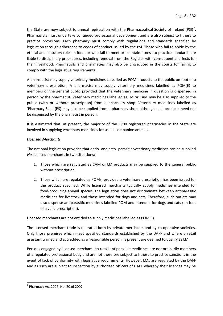<span id="page-7-0"></span>the State are now subject to annual registration with the Pharmaceutical Society of Ireland (PSI)<sup>[7](#page-7-0)</sup>. Pharmacists must undertake continued professional development and are also subject to fitness to practice provisions. Each pharmacy must comply with regulations and standards specified by legislation through adherence to codes of conduct issued by the PSI. Those who fail to abide by the ethical and statutory rules in force or who fail to meet or maintain fitness to practice standards are liable to disciplinary procedures, including removal from the Register with consequential effects for their livelihood. Pharmacists and pharmacies may also be prosecuted in the courts for failing to comply with the legislative requirements.

A pharmacist may supply veterinary medicines classified as POM products to the public on foot of a veterinary prescription. A pharmacist may supply veterinary medicines labelled as POM(E) to members of the general public provided that the veterinary medicine in question is dispensed in person by the pharmacist. Veterinary medicines labelled as LM or CAM may be also supplied to the public (with or without prescription) from a pharmacy shop. Veterinary medicines labelled as 'Pharmacy Sale' (PS) may also be supplied from a pharmacy shop, although such products need not be dispensed by the pharmacist in person.

It is estimated that, at present, the majority of the 1700 registered pharmacies in the State are involved in supplying veterinary medicines for use in companion animals.

### *Licensed Merchants*

The national legislation provides that endo‐ and ecto‐ parasitic veterinary medicines can be supplied *via* licensed merchants in two situations:

- 1. Those which are regulated as CAM or LM products may be supplied to the general public without prescription.
- 2. Those which are regulated as POMs, provided a veterinary prescription has been issued for the product specified. While licensed merchants typically supply medicines intended for food-producing animal species, the legislation does not discriminate between antiparasitic medicines for livestock and those intended for dogs and cats. Therefore, such outlets may also dispense antiparasitic medicines labelled POM and intended for dogs and cats (on foot of a valid prescription).

Licensed merchants are not entitled to supply medicines labelled as POM(E).

The licensed merchant trade is operated both by private merchants and by co-operative societies. Only those premises which meet specified standards established by the DAFF and where a retail assistant trained and accredited as a 'responsible person' is present are deemed to qualify as LM.

Persons engaged by licensed merchants to retail antiparasitic medicines are not ordinarily members of a regulated professional body and are not therefore subject to fitness to practice sanctions in the event of lack of conformity with legislative requirements. However, LMs are regulated by the DAFF and as such are subject to inspection by authorised officers of DAFF whereby their licences may be

  $<sup>7</sup>$  Pharmacy Act 2007, No. 20 of 2007</sup>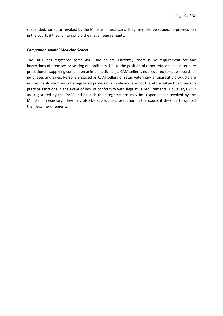suspended, varied or revoked by the Minister if necessary. They may also be subject to prosecution in the courts if they fail to uphold their legal requirements.

#### *Companion Animal Medicine Sellers*

The DAFF has registered some 450 CAM sellers. Currently, there is no requirement for any inspections of premises or vetting of applicants. Unlike the position of other retailers and veterinary practitioners supplying companion animal medicines, a CAM seller is not required to keep records of purchases and sales. Persons engaged as CAM sellers of retail veterinary antiparasitic products are not ordinarily members of a regulated professional body and are not therefore subject to fitness to practice sanctions in the event of lack of conformity with legislative requirements. However, CAMs are registered by the DAFF and as such their registrations may be suspended or revoked by the Minister if necessary. They may also be subject to prosecution in the courts if they fail to uphold their legal requirements.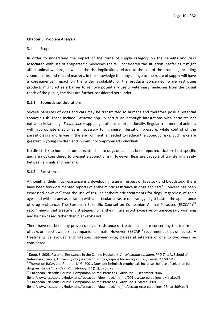### <span id="page-9-0"></span>**Chapter 3, Problem Analysis**

#### 3.1 Scope

In order to understand the impact of the route of supply category on the benefits and risks associated with use of antiparasitic medicines the WG considered the situation insofar as it might affect animal welfare, as well as the risk implications related to the use of the products, including zoonotic risks and related matters. In the knowledge that any change to the route of supply will have a consequential impact on the wider availability of the products concerned, while restricting products might act as a barrier to remove potentially useful veterinary medicines from the casual reach of the public, the risks are further considered hereunder.

### **3.1.1 Zoonotic considerations**

Several parasites of dogs and cats may be transmitted to humans and therefore pose a potential zoonotic risk. These include *Toxocara* spp. in particular, although infestations with parasites not native to Ireland e.g. *Echinococcus* spp. might also occur exceptionally. Regular treatment of animals with appropriate medicines is necessary to minimise infestation pressure, while control of the parasitic eggs and larvae in the environment is needed to reduce the zoonotic risks. Such risks are greatest in young children and in immunocompromised individuals.

No direct risk to humans from ticks attached to dogs or cats has been reported. Lice are host specific and are not considered to present a zoonotic risk. However, fleas are capable of transferring easily between animals and humans.

#### **3.1.2 Resistance**

Although anthelmintic resistance is a developing issue in respect of livestock and bloodstock, there have been few documented reports of anthelmintic resistance in dogs and cats<sup>[8](#page-9-0)</sup>. Concern has been expressed however<sup>[9](#page-9-0)</sup> that the use of regular anthelmintic treatments for dogs, regardless of their ages and without any association with a particular parasite or strategy might hasten the appearance of drug resistance. The European Scientific Counsel on Companion Animal Parasites (ESCCAP)<sup>[10](#page-9-0)</sup> recommends that treatment strategies for anthelmintics avoid excessive or unnecessary worming and be risk‐based rather than blanket‐based.

There have not been any proven cases of resistance or treatment failure concerning the treatment of ticks or insect dwellers in companion animals. However,  $ESSCAP<sup>11</sup>$  $ESSCAP<sup>11</sup>$  $ESSCAP<sup>11</sup>$  recommends that unnecessary treatments be avoided and rotations between drug classes at intervals of one to two years be considered.

<sup>8</sup> Koop, S. 2008. Pyrantel Resistance in the Canine Hookwork, *Ancylostoma caninum. PhD Thesis*, School of Veterinary Science, University of Queensland. (http://espace.library.uq.edu.au/view/UQ:159784)<br>
<sup>9</sup> Thompson R.C.A. and Roberts, M.G. 2001. Does pet helminth prophylaxis increase the rate of selection for

drug resistance? *Trends in Parasitology,* 17 (12), 576-578.<br><sup>10</sup> European Scientific Counsel Companion Animal Parasites, Guideline 1, December 2006,

<sup>(</sup>http://www.esccap.org/index.php/fuseaction/download/lrn\_file/001-esccap-guidelines-ukfinal.pdf)<br><sup>11</sup> European Scientific Counsel Companion Animal Parasites, Guideline 3, March 2009,

<sup>(</sup>http://www.esccap.org/index.php/fuseaction/download/lrn\_file/esccap‐ecto‐guidelines‐27march09.pdf)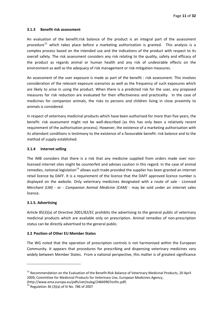### <span id="page-10-0"></span>**3.1.3 Benefit risk assessment**

An evaluation of the benefit:risk balance of the product is an integral part of the assessment procedure<sup>[12](#page-10-0)</sup> which takes place before a marketing authorisation is granted. This analysis is a complex process based on the intended use and the indications of the product with respect to its overall safety. The risk assessment considers any risk relating to the quality, safety and efficacy of the product as regards animal or human health and any risk of undesirable effects on the environment as well as the adequacy of risk management or risk mitigation measures.

An assessment of the user exposure is made as part of the benefit : risk assessment. This involves consideration of the relevant exposure scenarios as well as the frequency of such exposures which are likely to arise in using the product. When there is a predicted risk for the user, any proposed measures for risk reduction are evaluated for their effectiveness and practicality. In the case of medicines for companion animals, the risks to persons and children living in close proximity to animals is considered.

In respect of veterinary medicinal products which have been authorised for more than five years, the benefit: risk assessment might not be well‐described (as this has only been a relatively recent requirement of the authorisation process). However, the existence of a marketing authorisation with its attendant conditions is testimony to the existence of a favourable benefit: risk balance and to the method of supply established.

### **3.1.4 Internet selling**

The IMB considers that there is a risk that any medicine supplied from orders made over nonlicensed internet sites might be counterfeit and advises caution in this regard. In the case of animal remedies, national legislation<sup>[13](#page-10-0)</sup> allows such trade provided the supplier has been granted an internet retail licence by DAFF. It is a requirement of the licence that the DAFF approved licence number is displayed on the website. Only veterinary medicines designated with a route of sale ‐ *Licensed Merchant (LM)* ‐ or ‐ *Companion Animal Medicine (CAM)* ‐ may be sold under an internet sales licence.

## **3.1.5. Advertising**

Article 85(3)(a) of Directive 2001/82/EC prohibits the advertising to the general public of veterinary medicinal products which are available only on prescription. Animal remedies of non‐prescription status can be directly advertised to the general public.

## **3.2 Position of Other EU Member States**

The WG noted that the operation of prescription controls is not harmonised within the European Community. It appears that procedures for prescribing and dispensing veterinary medicines vary widely between Member States. From a national perspective, this matter is of greatest significance

<sup>&</sup>lt;sup>12</sup> Recommendation on the Evaluation of the Benefit-Risk Balance of Veterinary Medicinal Products, 20 April 2009, Committee for Medicinal Products for Veterinary Use, European Medicines Agency,

<sup>(</sup>http://www.ema.europa.eu/pdfs/vet/euleg/24849907enfin.pdf)<br> $^{13}$  Regulation 36 (3)(a) of SI No. 786 of 2007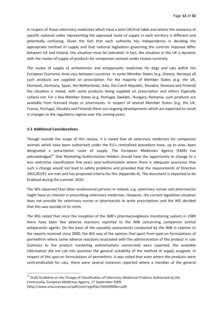<span id="page-11-0"></span>in respect of those veterinary medicines which have a joint UK/Irish label and where the existence of specific national codes representing the approved route of supply in each territory is different and potentially confusing. Given the fact that each authority has independence in deciding the appropriate method of supply and that national legislation governing the controls imposed differ between UK and Ireland, this situation must be tolerated. In fact, the situation in the UK is dynamic with the routes of supply of products for companion animals under review currently.

The routes of supply of anthelmintic and ectoparasitic medicines for dogs and cats within the European Economic Area vary between countries. In some Member States (e.g. Greece, Norway) all such products are supplied on prescription. For the majority of Member States (e.g. the UK, Denmark, Germany, Spain, the Netherlands, Italy, the Czech Republic, Slovakia, Slovenia and Finland) the situation is mixed, with some products being supplied on prescription and others (typically collars) not. For a few Member States (e.g. Portugal, Sweden, Hungary, Romania, such products are available from licensed shops or pharmacies. In respect of several Member States (e.g. the UK, France, Portugal, Slovakia and Finland) there are ongoing developments which are expected to result in changes to the regulatory regime over the coming years.

### **3.3 Additional Considerations**

Though outside the scope of this review, it is noted that all veterinary medicines for companion animals which have been authorised under the EU's centralised procedure have, up to now, been designated a prescription route of supply. The European Medicines Agency (EMA) has acknowledged<sup>[14](#page-11-0)</sup> that Marketing Authorisation Holders should have the opportunity to change to a less restrictive classification five years post-authorisation where there is adequate assurance that such a change would not lead to safety problems and provided that the requirements of Directive 2001/82/EC are met and has proposed criteria for this (Appendix 6). The document is expected to be finalised during the summer 2010.

The WG observed that other professional persons in Ireland, e.g. veterinary nurses and pharmacists might have an interest in prescribing veterinary medicines. However, the current legislative situation does not provide for veterinary nurses or pharmacists to write prescriptions and the WG decided that this was outside of its remit.

The WG noted that since the inception of the IMB's pharmacovigilance monitoring system in 1989 there have been few adverse reactions reported to the IMB concerning companion animal antiparasitic agents. On the basis of the causality assessments conducted by the IMB in relation to the reports received since 2000, the WG was of the opinion that apart from spot‐on formulations of permethrin where some adverse reactions associated with the administration of the product in cats (contrary to the product marketing authorisations concerned) were reported, the available information did not call into question the general suitability of the method of supply assigned. In respect of the spot‐on formulations of permethrin, it was noted that even where the products were contraindicated for cats, there were several instances reported where a member of the general

<sup>&</sup>lt;sup>14</sup> Draft Guideline on the Change of Classification of Veterinary Medicinal Products Authorised by the Community, European Medicines Agency, 17 September 2009. (http://www.ema.europa.eu/pdfs/vet/regaffair/43050909en.pdf)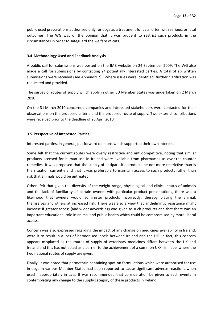public used preparations authorised only for dogs as a treatment for cats, often with serious, or fatal outcomes. The WG was of the opinion that it was prudent to restrict such products in the circumstances in order to safeguard the welfare of cats.

#### **3.4 Methodology Used and Feedback Analysis**

A public call for submissions was posted on the IMB website on 24 September 2009. The WG also made a call for submissions by contacting 24 potentially interested parties. A total of six written submissions were received (see Appendix 7). Where issues were identified, further clarification was requested and provided.

The survey of routes of supply which apply in other EU Member States was undertaken on 2 March 2010.

On the 31 March 2010 concerned companies and interested stakeholders were contacted for their observations on the proposed criteria and the proposed route of supply. Two external contributions were received prior to the deadline of 26 April 2010.

#### **3.5 Perspective of Interested Parties**

Interested parties, in general, put forward opinions which supported their own interests.

Some felt that the current routes were overly restrictive and anti-competitive, noting that similar products licensed for human use in Ireland were available from pharmacies as over‐the‐counter remedies. It was proposed that the supply of antiparasitic products be not more restrictive than is the situation currently and that it was preferable to maintain access to such products rather than risk that animals would be untreated.

Others felt that given the diversity of the weight range, physiological and clinical status of animals and the lack of familiarity of certain owners with particular product presentations, there was a likelihood that owners would administer products incorrectly, thereby placing the animal, themselves and others at increased risk. There was also a view that anthelmintic resistance might increase if greater access (and wider advertising) was given to such products and that there was an important educational role in animal and public health which could be compromised by more liberal access.

Concern was also expressed regarding the impact of any change on medicines availability in Ireland, were it to result in a loss of harmonised labels between Ireland and the UK. In fact, this concern appears misplaced as the routes of supply of veterinary medicines differs between the UK and Ireland and this has not acted as a barrier to the achievement of a common UK/Irish label where the two national routes of supply are given.

Finally, it was noted that permethrin-containing spot-on formulations which were authorised for use in dogs in various Member States had been reported to cause significant adverse reactions when used inappropriately in cats. It was recommended that consideration be given to such events in contemplating any change to the supply category of these products in Ireland.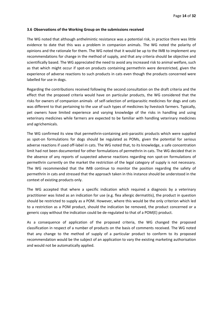#### **3.6 Observations of the Working Group on the submissions received**

The WG noted that although anthelmintic resistance was a potential risk, in practice there was little evidence to date that this was a problem in companion animals. The WG noted the polarity of opinions and the rationale for them. The WG noted that it would be up to the IMB to implement any recommendations for change in the method of supply, and that any criteria should be objective and scientifically based. The WG appreciated the need to avoid any increased risk to animal welfare, such as that which might occur if spot-on products containing permethrin were derestricted, given the experience of adverse reactions to such products in cats even though the products concerned were labelled for use in dogs.

Regarding the contributions received following the second consultation on the draft criteria and the effect that the proposed criteria would have on particular products, the WG considered that the risks for owners of companion animals of self‐selection of antiparasitic medicines for dogs and cats was different to that pertaining to the use of such types of medicines by livestock farmers. Typically, pet owners have limited experience and varying knowledge of the risks in handling and using veterinary medicines while farmers are expected to be familiar with handling veterinary medicines and agrichemicals.

The WG confirmed its view that permethrin‐containing anti‐parasitic products which were supplied as spot-on formulations for dogs should be regulated as POMs, given the potential for serious adverse reactions if used off-label in cats. The WG noted that, to its knowledge, a safe concentration limit had not been documented for other formulations of permethrin in cats. The WG decided that in the absence of any reports of suspected adverse reactions regarding non spot‐on formulations of permethrin currently on the market the restriction of the legal category of supply is not necessary. The WG recommended that the IMB continue to monitor the position regarding the safety of permethrin in cats and stressed that the approach taken in this instance should be understood in the context of existing products only.

The WG accepted that where a specific indication which required a diagnosis by a veterinary practitioner was listed as an indication for use (e.g. flea allergic dermatitis), the product in question should be restricted to supply as a POM. However, where this would be the only criterion which led to a restriction as a POM product, should the indication be removed, the product concerned or a generic copy without the indication could be de‐regulated to that of a POM(E) product.

As a consequence of application of the proposed criteria, the WG changed the proposed classification in respect of a number of products on the basis of comments received. The WG noted that any change to the method of supply of a particular product to conform to its proposed recommendation would be the subject of an application to vary the existing marketing authorisation and would not be automatically applied.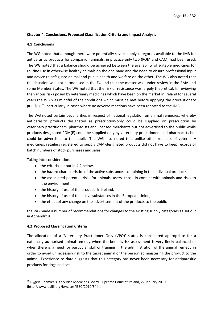### <span id="page-14-0"></span>**Chapter 4, Conclusions, Proposed Classification Criteria and Impact Analysis**

#### **4.1 Conclusions**

The WG noted that although there were potentially seven supply categories available to the IMB for antiparasitic products for companion animals, in practice only two (POM and CAM) had been used. The WG noted that a balance should be achieved between the availability of suitable medicines for routine use in otherwise healthy animals on the one hand and the need to ensure professional input and advice to safeguard animal and public health and welfare on the other. The WG also noted that the situation was not harmonised in the EU and that the matter was under review in the EMA and some Member States. The WG noted that the risk of resistance was largely theoretical. In reviewing the various risks posed by veterinary medicines which have been on the market in Ireland for several years the WG was mindful of the conditions which must be met before applying the precautionary principle<sup>[15](#page-14-0)</sup>, particularly in cases where no adverse reactions have been reported to the IMB.

The WG noted certain peculiarities in respect of national legislation on animal remedies, whereby antiparasitic products designated as prescription‐only could be supplied on prescription by veterinary practitioners, pharmacists and licensed merchants but not advertised to the public while products designated POM(E) could be supplied only by veterinary practitioners and pharmacists but could be advertised to the public. The WG also noted that unlike other retailers of veterinary medicines, retailers registered to supply CAM‐designated products did not have to keep records of batch numbers of stock purchases and sales.

Taking into consideration:

- the criteria set out in 4.2 below,
- the hazard characteristics of the active substances containing in the individual products,
- the associated potential risks for animals, users, those in contact with animals and risks to the environment,
- the history of use of the products in Ireland,
- the history of use of the active substances in the European Union,
- the effect of any change on the advertisement of the products to the public

the WG made a number of recommendations for changes to the existing supply categories as set out in Appendix 8.

## **4.2 Proposed Classification Criteria**

The allocation of a 'Veterinary Practitioner Only (VPO)' status is considered appropriate for a nationally authorised animal remedy when the benefit/risk assessment is very finely balanced or when there is a need for particular skill or training in the administration of the animal remedy in order to avoid unnecessary risk to the target animal or the person administering the product to the animal. Experience to date suggests that this category has never been necessary for antiparasitic products for dogs and cats.

<sup>&</sup>lt;sup>15</sup> Hygeia Chemicals Ltd v Irish Medicines Board, Supreme Court of Ireland, 27 January 2010 (http://www.bailii.org/ie/cases/IESC/2010/S4.html)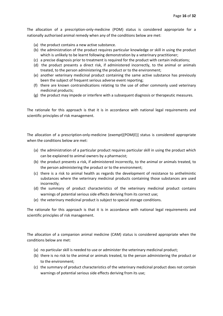The allocation of a prescription-only-medicine (POM) status is considered appropriate for a nationally authorised animal remedy when any of the conditions below are met:

- (a) the product contains a new active substance.
- (b) the administration of the product requires particular knowledge or skill in using the product which is unlikely to be learnt following demonstration by a veterinary practitioner;
- (c) a precise diagnosis prior to treatment is required for the product with certain indications;
- (d) the product presents a direct risk, if administered incorrectly, to the animal or animals treated, to the person administering the product or to the environment;
- (e) another veterinary medicinal product containing the same active substance has previously been the subject of frequent serious adverse event reporting;
- (f) there are known contraindications relating to the use of other commonly used veterinary medicinal products;
- (g) the product may impede or interfere with a subsequent diagnosis or therapeutic measures*.*

The rationale for this approach is that it is in accordance with national legal requirements and scientific principles of risk management.

The allocation of a prescription-only-medicine (exempt)[POM(E)] status is considered appropriate when the conditions below are met:

- (a) the administration of a particular product requires particular skill in using the product which can be explained to animal owners by a pharmacist;
- (b) the product presents a risk, if administered incorrectly, to the animal or animals treated, to the person administering the product or to the environment;
- (c) there is a risk to animal health as regards the development of resistance to anthelmintic substances where the veterinary medicinal products containing those substances are used incorrectly;
- (d) the summary of product characteristics of the veterinary medicinal product contains warnings of potential serious side effects deriving from its correct use;
- (e) the veterinary medicinal product is subject to special storage conditions.

The rationale for this approach is that it is in accordance with national legal requirements and scientific principles of risk management.

The allocation of a companion animal medicine (CAM) status is considered appropriate when the conditions below are met:

- (a) no particular skill is needed to use or administer the veterinary medicinal product;
- (b) there is no risk to the animal or animals treated, to the person administering the product or to the environment;
- (c) the summary of product characteristics of the veterinary medicinal product does not contain warnings of potential serious side effects deriving from its use;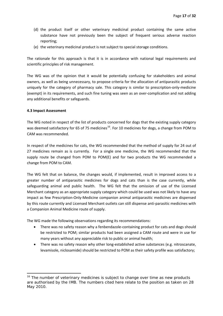- <span id="page-16-0"></span>(d) the product itself or other veterinary medicinal product containing the same active substance have not previously been the subject of frequent serious adverse reaction reporting;
- (e) the veterinary medicinal product is not subject to special storage conditions.

The rationale for this approach is that it is in accordance with national legal requirements and scientific principles of risk management.

The WG was of the opinion that it would be potentially confusing for stakeholders and animal owners, as well as being unnecessary, to propose criteria for the allocation of antiparasitic products uniquely for the category of pharmacy sale. This category is similar to prescription-only-medicine (exempt) in its requirements, and such fine tuning was seen as an over‐complication and not adding any additional benefits or safeguards.

#### **4.3 Impact Assessment**

The WG noted in respect of the list of products concerned for dogs that the existing supply category was deemed satisfactory for 65 of 75 medicines<sup>[16](#page-16-0)</sup>. For 10 medicines for dogs, a change from POM to CAM was recommended.

In respect of the medicines for cats, the WG recommended that the method of supply for 24 out of 27 medicines remain as is currently. For a single one medicine, the WG recommended that the supply route be changed from POM to POM(E) and for two products the WG recommended a change from POM to CAM.

The WG felt that on balance, the changes would, if implemented, result in improved access to a greater number of antiparasitic medicines for dogs and cats than is the case currently, while safeguarding animal and public health. The WG felt that the omission of use of the Licensed Merchant category as an appropriate supply category which could be used was not likely to have any impact as few Prescription‐Only‐Medicine companion animal antiparasitic medicines are dispensed by this route currently and Licensed Merchant outlets can still dispense anti‐parasitic medicines with a Companion Animal Medicine route of supply.

The WG made the following observations regarding its recommendations:

- There was no safety reason why a fenbendazole‐containing product for cats and dogs should be restricted to POM; similar products had been assigned a CAM route and were in use for many years without any appreciable risk to public or animal health;
- There was no safety reason why other long-established active substances (e.g. nitroscanate, levamisole, niclosamide) should be restricted to POM as their safety profile was satisfactory;

 $16$  The number of veterinary medicines is subject to change over time as new products are authorised by the IMB. The numbers cited here relate to the position as taken on 28 May 2010.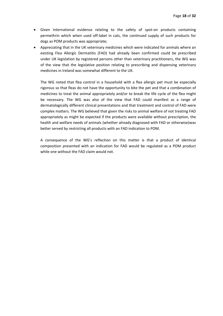- Given international evidence relating to the safety of spot‐on products containing permethrin which when used off‐label in cats, the continued supply of such products for dogs as POM products was appropriate;
- Appreciating that in the UK veterinary medicines which were indicated for animals where an existing Flea Allergic Dermatitis (FAD) had already been confirmed could be prescribed under UK legislation by registered persons other than veterinary practitioners, the WG was of the view that the legislative position relating to prescribing and dispensing veterinary medicines in Ireland was somewhat different to the UK.

The WG noted that flea control in a household with a flea allergic pet must be especially rigorous so that fleas do not have the opportunity to bite the pet and that a combination of medicines to treat the animal appropriately and/or to break the life cycle of the flea might be necessary. The WG was also of the view that FAD could manifest as a range of dermatologically different clinical presentations and that treatment and control of FAD were complex matters. The WG believed that given the risks to animal welfare of not treating FAD appropriately as might be expected if the products were available without prescription, the health and welfare needs of animals (whether already diagnosed with FAD or otherwise)was better served by restricting all products with an FAD indication to POM.

A consequence of the WG's reflection on this matter is that a product of identical composition presented with an indication for FAD would be regulated as a POM product while one without the FAD claim would not.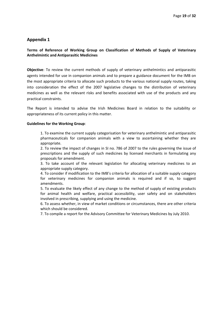## **Terms of Reference of Working Group on Classification of Methods of Supply of Veterinary Anthelmintic and Antiparasitic Medicines**

**Objective**: To review the current methods of supply of veterinary anthelmintics and antiparasitic agents intended for use in companion animals and to prepare a guidance document for the IMB on the most appropriate criteria to allocate such products to the various national supply routes, taking into consideration the effect of the 2007 legislative changes to the distribution of veterinary medicines as well as the relevant risks and benefits associated with use of the products and any practical constraints.

The Report is intended to advise the Irish Medicines Board in relation to the suitability or appropriateness of its current policy in this matter.

#### **Guidelines for the Working Group**:

1. To examine the current supply categorisation for veterinary anthelmintic and antiparasitic pharmaceuticals for companion animals with a view to ascertaining whether they are appropriate.

2. To review the impact of changes in SI no. 786 of 2007 to the rules governing the issue of prescriptions and the supply of such medicines by licensed merchants in formulating any proposals for amendment.

3. To take account of the relevant legislation for allocating veterinary medicines to an appropriate supply category.

4. To consider if modification to the IMB's criteria for allocation of a suitable supply category for veterinary medicines for companion animals is required and if so, to suggest amendments.

5. To evaluate the likely effect of any change to the method of supply of existing products for animal health and welfare, practical accessibility, user safety and on stakeholders involved in prescribing, supplying and using the medicine.

6. To assess whether, in view of market conditions or circumstances, there are other criteria which should be considered.

7. To compile a report for the Advisory Committee for Veterinary Medicines by July 2010.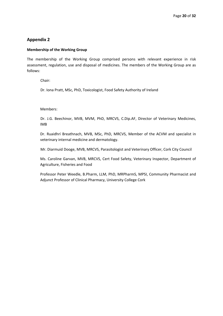#### **Membership of the Working Group**

The membership of the Working Group comprised persons with relevant experience in risk assessment, regulation, use and disposal of medicines. The members of the Working Group are as follows:

Chair:

Dr. Iona Pratt, MSc, PhD, Toxicologist, Food Safety Authority of Ireland

Members:

Dr. J.G. Beechinor, MVB, MVM, PhD, MRCVS, C.Dip.AF, Director of Veterinary Medicines, IMB

Dr. Ruaidhrí Breathnach, MVB, MSc, PhD, MRCVS, Member of the ACVM and specialist in veterinary internal medicine and dermatology.

Mr. Diarmuid Dooge, MVB, MRCVS, Parasitologist and Veterinary Officer, Cork City Council

Ms. Caroline Garvan, MVB, MRCVS, Cert Food Safety, Veterinary Inspector, Department of Agriculture, Fisheries and Food

Professor Peter Weedle, B.Pharm, LLM, PhD, MRPharmS, MPSI, Community Pharmacist and Adjunct Professor of Clinical Pharmacy, University College Cork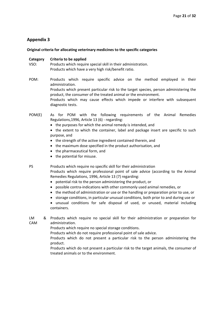#### **Original criteria for allocating veterinary medicines to the specific categories**

#### **Category Criteria to be applied**

- VSO: Products which require special skill in their administration. Products which have a very high risk/benefit ratio.
- POM: Products which require specific advice on the method employed in their administration. Products which present particular risk to the target species, person administering the product, the consumer of the treated animal or the environment. Products which may cause effects which impede or interfere with subsequent diagnostic tests.
- POM(E) As for POM with the following requirements of the Animal Remedies Regulations,1996, Article 13 (6) ‐ regarding:
	- the purposes for which the animal remedy is intended, and
	- the extent to which the container, label and package insert are specific to such purpose, and
	- the strength of the active ingredient contained therein, and
	- the maximum dose specified in the product authorisation, and
	- the pharmaceutical form, and
	- the potential for misuse.

PS Products which require no specific skill for their administration

Products which require professional point of sale advice (according to the Animal Remedies Regulations, 1996, Article 13 (7) regarding:

- potential risk to the person administering the product, or
- possible contra‐indications with other commonly used animal remedies, or
- the method of administration or use or the handling or preparation prior to use, or
- storage conditions, in particular unusual conditions, both prior to and during use or
- unusual conditions for safe disposal of used, or unused, material including containers.
- LM CAM Products which require no special skill for their administration or preparation for administration.

Products which require no special storage conditions.

Products which do not require professional point of sale advice.

Products which do not present a particular risk to the person administering the product.

Products which do not present a particular risk to the target animals, the consumer of treated animals or to the environment.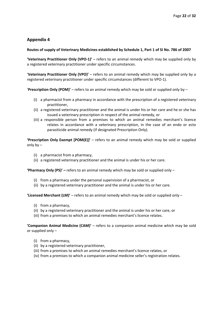#### **Routes of supply of Veterinary Medicines established by Schedule 1, Part 1 of SI No. 786 of 2007**

**'Veterinary Practitioner Only (VPO‐1)'** – refers to an animal remedy which may be supplied only by a registered veterinary practitioner under specific circumstances.

'**Veterinary Practitioner Only (VPO)'** – refers to an animal remedy which may be supplied only by a registered veterinary practitioner under specific circumstances (different to VPO‐1).

'**Prescription Only (POM)'** – refers to an animal remedy which may be sold or supplied only by –

- (i) a pharmacist from a pharmacy in accordance with the prescription of a registered veterinary practitioner,
- (ii) a registered veterinary practitioner and the animal is under his or her care and he or she has issued a veterinary prescription in respect of the animal remedy, or
- (iii) a responsible person from a premises to which an animal remedies merchant's licence relates in accordance with a veterinary prescription, in the case of an endo or ecto parasiticide animal remedy (if designated Prescription Only).

**'Prescription Only Exempt [POM(E)]'** – refers to an animal remedy which may be sold or supplied only by –

- (i) a pharmacist from a pharmacy,
- (ii) a registered veterinary practitioner and the animal is under his or her care.

**'Pharmacy Only (PS)' –** refers to an animal remedy which may be sold or supplied only –

- (i) from a pharmacy under the personal supervision of a pharmacist, or
- (ii) by a registered veterinary practitioner and the animal is under his or her care.

**'Licensed Merchant (LM)'** – refers to an animal remedy which may be sold or supplied only –

- (i) from a pharmacy,
- (ii) by a registered veterinary practitioner and the animal is under his or her care, or
- (iii) from a premises to which an animal remedies merchant's licence relates.

**'Companion Animal Medicine (CAM)'** – refers to a companion animal medicine which may be sold or supplied only –

- (i) from a pharmacy,
- (ii) by a registered veterinary practitioner,
- (iii) from a premises to which an animal remedies merchant's licence relates, or
- (iv) from a premises to which a companion animal medicine seller's registration relates.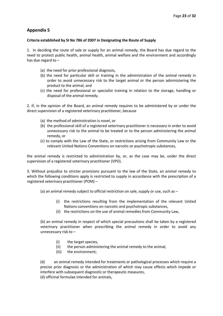### **Criteria established by SI No 786 of 2007 in Designating the Route of Supply**

1. In deciding the route of sale or supply for an animal remedy, the Board has due regard to the need to protect public health, animal health, animal welfare and the environment and accordingly has due regard to –

- (a) the need for prior professional diagnosis,
- (b) the need for particular skill or training in the administration of the animal remedy in order to avoid unnecessary risk to the target animal or the person administering the product to the animal, and
- (c) the need for professional or specialist training in relation to the storage, handling or disposal of the animal remedy.

2. If, in the opinion of the Board, an animal remedy requires to be administered by or under the direct supervision of a registered veterinary practitioner, because

- (a) the method of administration is novel, or
- (b) the professional skill of a registered veterinary practitioner is necessary in order to avoid unnecessary risk to the animal to be treated or to the person administering the animal remedy, or
- (c) to comply with the Law of the State, or restrictions arising from Community Law or the relevant United Nations Conventions on narcotic or psychotropic substances,

the animal remedy is restricted to administration by, or, as the case may be, under the direct supervision of a registered veterinary practitioner (VPO).

3. Without prejudice to stricter provisions pursuant to the law of the State, an animal remedy to which the following conditions apply is restricted to supply in accordance with the prescription of a registered veterinary practitioner (POM) –

(a) an animal remedy subject to official restriction on sale, supply or use, such as –

- (i) the restrictions resulting from the implementation of the relevant United Nations conventions on narcotic and psychotropic substances,
- (ii) the restrictions on the use of animal remedies from Community Law,

(b) an animal remedy in respect of which special precautions shall be taken by a registered veterinary practitioner when prescribing the animal remedy in order to avoid any unnecessary risk to –

- (i) the target species,
- (ii) the person administering the animal remedy to the animal,
- (iii) the environment;

(d) an animal remedy intended for treatments or pathological processes which require a precise prior diagnosis or the administration of which may cause effects which impede or interfere with subsequent diagnostic or therapeutic measures,

(d) officinal formulae intended for animals,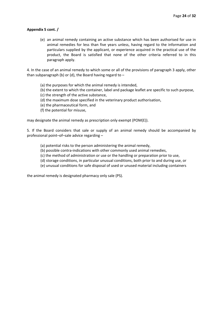#### **Appendix 5 cont. /**

(e) an animal remedy containing an active substance which has been authorised for use in animal remedies for less than five years unless, having regard to the information and particulars supplied by the applicant, or experience acquired in the practical use of the product, the Board is satisfied that none of the other criteria referred to in this paragraph apply.

4. In the case of an animal remedy to which some or all of the provisions of paragraph 3 apply, other than subparagraph (b) or (d), the Board having regard to  $-$ 

- (a) the purposes for which the animal remedy is intended,
- (b) the extent to which the container, label and package leaflet are specific to such purpose,
- (c) the strength of the active substance,
- (d) the maximum dose specified in the veterinary product authorisation,
- (e) the pharmaceutical form, and
- (f) the potential for misuse,

may designate the animal remedy as prescription only exempt (POM(E)).

5. If the Board considers that sale or supply of an animal remedy should be accompanied by professional point–of–sale advice regarding –

- (a) potential risks to the person administering the animal remedy,
- (b) possible contra‐indications with other commonly used animal remedies,
- (c) the method of administration or use or the handling or preparation prior to use,
- (d) storage conditions, in particular unusual conditions, both prior to and during use, or
- (e) unusual conditions for safe disposal of used or unused material including containers

the animal remedy is designated pharmacy only sale (PS).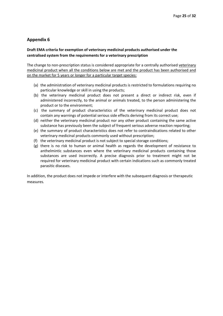## **Draft EMA criteria for exemption of veterinary medicinal products authorised under the centralised system from the requirements for a veterinary prescription**

The change to non‐prescription status is considered appropriate for a centrally authorised veterinary medicinal product when all the conditions below are met and the product has been authorised and on the market for 5 years or longer for a particular target species:

- (a) the administration of veterinary medicinal products is restricted to formulations requiring no particular knowledge or skill in using the products;
- (b) the veterinary medicinal product does not present a direct or indirect risk, even if administered incorrectly, to the animal or animals treated, to the person administering the product or to the environment;
- (c) the summary of product characteristics of the veterinary medicinal product does not contain any warnings of potential serious side effects deriving from its correct use;
- (d) neither the veterinary medicinal product nor any other product containing the same active substance has previously been the subject of frequent serious adverse reaction reporting;
- (e) the summary of product characteristics does not refer to contraindications related to other veterinary medicinal products commonly used without prescription;
- (f) the veterinary medicinal product is not subject to special storage conditions;
- (g) there is no risk to human or animal health as regards the development of resistance to anthelmintic substances even where the veterinary medicinal products containing those substances are used incorrectly. A precise diagnosis prior to treatment might not be required for veterinary medicinal product with certain indications such as commonly treated parasitic diseases.

In addition, the product does not impede or interfere with the subsequent diagnosis or therapeutic measures*.*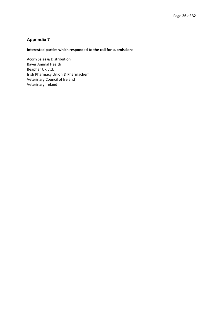# **Interested parties which responded to the call for submissions**

Acorn Sales & Distribution Bayer Animal Health Beaphar UK Ltd. Irish Pharmacy Union & Pharmachem Veterinary Council of Ireland Veterinary Ireland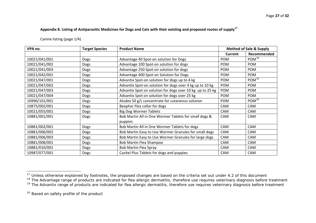Appendix 8. Listing of Antiparasitic Medicines for Dogs and Cats with their existing and proposed routes of supply<sup>[17](#page-26-0)</sup>

Canine listing (page 1/4)

| VPA no.       | <b>Target Species</b> | <b>Product Name</b>                                       | <b>Method of Sale &amp; Supply</b> |                   |
|---------------|-----------------------|-----------------------------------------------------------|------------------------------------|-------------------|
|               |                       |                                                           | <b>Current</b>                     | Recommended       |
| 10021/041/001 | <b>Dogs</b>           | Advantage 40 Spot-on solution for Dogs                    | POM                                | POM <sup>18</sup> |
| 10021/041/002 | Dogs                  | Advantage 100 Spot-on solution for dogs                   | <b>POM</b>                         | <b>POM</b>        |
| 10021/041/003 | <b>Dogs</b>           | Advantage 250 Spot-on solution for dogs                   | POM                                | POM               |
| 10021/042/001 | Dogs                  | Advantage 400 Spot-on Solution for Dogs                   | <b>POM</b>                         | <b>POM</b>        |
| 10021/047/001 | Dogs                  | Advantix Spot-on solution for dogs up to 4 kg             | POM                                | POM <sup>19</sup> |
| 10021/047/002 | Dogs                  | Advantix Spot-on solution for dogs over 4 kg up to 10 kg  | POM                                | <b>POM</b>        |
| 10021/047/003 | Dogs                  | Advantix Spot on solution for dogs over 10 kg up to 25 kg | POM                                | <b>POM</b>        |
| 10021/047/004 | Dogs                  | Advantix Spot on solution for dogs over 25 kg             | <b>POM</b>                         | <b>POM</b>        |
| 10996/101/001 | Dogs                  | Aludex 50 g/L concentrate for cutaneous solution          | <b>POM</b>                         | POM <sup>20</sup> |
| 10875/002/001 | Dogs                  | Beaphar Flea collar for dogs                              | <b>CAM</b>                         | CAM               |
| 10021/055/001 | Dogs                  | <b>Big Dog Wormer Tablets</b>                             | <b>CAM</b>                         | CAM               |
| 10881/001/001 | Dogs                  | Bob Martin All in One Wormer Tablets for small dogs &     | CAM                                | CAM               |
|               |                       | puppies                                                   |                                    |                   |
| 10881/002/001 | Dogs                  | Bob Martin All in One Wormer Tablets for dogs             | CAM                                | CAM               |
| 10881/006/002 | Dogs                  | Bob Martin Easy to Use Wormer Granules for small dogs     | CAM                                | CAM               |
| 10881/006/003 | Dogs                  | Bob Martin Easy to Use Wormer Granules for large dogs     | CAM                                | CAM               |
| 10881/008/001 | <b>Dogs</b>           | Bob Martin Flea Shampoo                                   | CAM                                | CAM               |
| 10881/010/001 | Dogs                  | <b>Bob Martin Flea Spray</b>                              | CAM                                | CAM               |
| 10987/077/001 | Dogs                  | Cazitel Plus Tablets for dogs and puppies                 | CAM                                | CAM               |

<span id="page-26-1"></span><span id="page-26-0"></span><sup>&</sup>lt;sup>17</sup> Unless otherwise explained by footnotes, the proposed changes are based on the criteria set out under 4.2 of this document

<sup>&</sup>lt;sup>18</sup> The Advantage range of products are indicated for flea allergic dermatitis, therefore use requires veterinary diagnosis before treatment

<span id="page-26-2"></span><sup>&</sup>lt;sup>19</sup> The Advantix range of products are indicated for flea allergic dermatitis, therefore use requires veterinary diagnosis before treatment

<span id="page-26-3"></span><sup>&</sup>lt;sup>20</sup> Based on safety profile of the product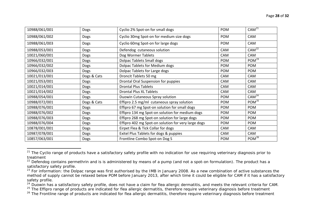| 10988/061/001 | <b>Dogs</b> | Cyclio 2% Spot-on for small dogs                    | POM        | CAM <sup>21</sup> |
|---------------|-------------|-----------------------------------------------------|------------|-------------------|
| 10988/061/002 | Dogs        | Cyclio 30mg Spot-on for medium size dogs            | <b>POM</b> | <b>CAM</b>        |
| 10988/061/003 | <b>Dogs</b> | Cyclio 60mg Spot-on for large dogs                  | POM        | CAM               |
| 10988/053/001 | Dogs        | Defendog cutaneous solution                         | CAM        | $CAM^2$           |
| 10021/060/001 | Dogs        | Dog Wormer Tablets                                  | CAM        | CAM               |
| 10966/032/001 | <b>Dogs</b> | <b>Dolpac Tablets Small dogs</b>                    | <b>POM</b> | POM <sup>23</sup> |
| 10966/032/002 | Dogs        | Dolpac Tablets for Medium dogs                      | POM        | POM               |
| 10966/032/003 | <b>Dogs</b> | Dolpac Tablets for Large dogs                       | <b>POM</b> | POM               |
| 10021/013/001 | Dogs & Cats | Droncit Tablets 50 mg                               | <b>CAM</b> | <b>CAM</b>        |
| 10021/053/001 | <b>Dogs</b> | Drontal Oral Suspension for puppies                 | CAM        | CAM               |
| 10021/014/001 | Dogs        | <b>Drontal Plus Tablets</b>                         | CAM        | CAM               |
| 10021/014/002 | Dogs        | <b>Drontal Plus XL Tablets</b>                      | <b>CAM</b> | <b>CAM</b>        |
| 10988/054/001 | Dogs        | Duowin Cutaneous Spray solution                     | <b>POM</b> | CAM <sup>24</sup> |
| 10988/072/001 | Dogs & Cats | Effipro 2.5 mg/ml cutaneous spray solution          | <b>POM</b> | POM <sup>25</sup> |
| 10988/076/001 | Dogs        | Effipro 67 mg Spot-on solution for small dogs       | <b>POM</b> | <b>POM</b>        |
| 10988/076/002 | <b>Dogs</b> | Effipro 134 mg Spot-on solution for medium dogs     | <b>POM</b> | <b>POM</b>        |
| 10988/076/003 | Dogs        | Effipro 268 mg Spot-on solution for large dogs      | <b>POM</b> | POM               |
| 10988/076/004 | Dogs        | Effipro 402 mg Spot-on solution for very large dogs | <b>POM</b> | POM               |
| 10878/001/001 | <b>Dogs</b> | Eirpet Flea & Tick Collar for dogs                  | CAM        | CAM               |
| 10987/078/001 | Dogs        | Exitel Plus Tablets for dogs & puppies              | CAM        | CAM               |
| 10857/063/001 | Dogs        | Frontline Combo Spot-on Dog S                       | POM        | POM <sup>26</sup> |

<span id="page-27-0"></span><sup>&</sup>lt;sup>21</sup> The Cyclio range of products have a satisfactory safety profile with no indication for use requiring veterinary diagnosis prior to treatment

<span id="page-27-1"></span> $22$  Defendog contains permethrin and is is administered by means of a pump (and not a spot-on formulation). The product has a satisfactory safety profile.

<span id="page-27-2"></span><sup>&</sup>lt;sup>23</sup> For information: the Dolpac range was first authorised by the IMB in January 2008. As a new combination of active substances the method of supply cannot be relaxed below POM before January 2013, after which time it could be eligible for CAM if it has a satisfactory safety profile.

<span id="page-27-3"></span><sup>&</sup>lt;sup>24</sup> Duowin has a satisfactory safety profile, does not have a claim for flea allergic dermatitis, and meets the relevant criteria for CAM.

<span id="page-27-4"></span><sup>&</sup>lt;sup>25</sup> The Effipro range of products are indicated for flea allergic dermatitis, therefore require veterinary diagnosis before treatment

<span id="page-27-5"></span><sup>&</sup>lt;sup>26</sup> The Frontline range of products are indicated for flea allergic dermatitis, therefore require veterinary diagnosis before treatment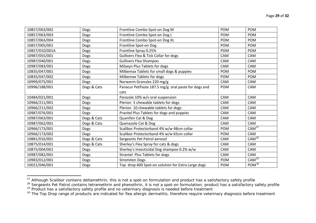| 10857/063/002  | Dogs        | Frontline Combo Spot-on Dog M                       | <b>POM</b> | POM               |
|----------------|-------------|-----------------------------------------------------|------------|-------------------|
| 10857/063/003  | Dogs        | Frontline Combo Spot-on Dog L                       | <b>POM</b> | <b>POM</b>        |
| 10857/063/004  | Dogs        | Frontline Combo Spot-on Dog XL                      | <b>POM</b> | <b>POM</b>        |
| 10857/005/001  | Dogs        | Frontline Spot-on Dog                               | <b>POM</b> | POM               |
| 10857/010/001A | <b>Dogs</b> | Frontline Spray 0.25%                               | <b>POM</b> | <b>POM</b>        |
| 10987/055/001  | <b>Dogs</b> | Gullivers Flea & Tick Collar for dogs               | CAM        | CAM               |
| 10987/040/001  | Dogs        | <b>Gullivers Flea Shampoo</b>                       | CAM        | CAM               |
| 10987/083/001  | Dogs        | Milaxyn Plus Tablets for dogs                       | CAM        | CAM               |
| 10835/047/001  | Dogs        | Milbemax Tablets for small dogs & puppies           | POM        | <b>POM</b>        |
| 10835/047/002  | Dogs        | Milbemax Tablets for dogs                           | POM        | <b>POM</b>        |
| 10999/075/001  | <b>Dogs</b> | Norworm Granules 220 mg/g                           | CAM        | CAM               |
| 10996/188/001  | Dogs & Cats | Panacur PetPaste 187.5 mg/g oral paste for dogs and | POM        | CAM               |
|                |             | cats                                                |            |                   |
| 10484/021/001  | Dogs        | Parazole 10% w/v oral suspension                    | CAM        | CAM               |
| 10966/211/001  | Dogs        | Plerion 5 chewable tablets for dogs                 | CAM        | CAM               |
| 10966/211/002  | Dogs        | Plerion 10 chewable tablets for dogs                | <b>CAM</b> | <b>CAM</b>        |
| 10987/076/001  | Dogs        | Prazitel Plus Tablets for dogs and puppies          | CAM        | CAM               |
| 10987/063/001  | Dogs & Cats | Quanifen Cat & Dog                                  | CAM        | CAM               |
| 10987/062/001  | Dogs & Cats | Quenazole Cat & Dog                                 | CAM        | CAM               |
| 10966/173/001  | Dogs        | Scalibor Protectorband 4% w/w 48cm collar           | <b>POM</b> | CAM <sup>27</sup> |
| 10966/173/002  | Dogs        | Scalibor Protectorband 4% w/w 65cm collar           | <b>POM</b> | CAM               |
| 10881/016/001  | Dogs & Cats | Sergeants Pet Patrol aerosol                        | CAM        | $CAM^{28}$        |
| 10875/014/001  | Dogs & Cats | Sherley's Flea Spray for cats & dogs                | CAM        | CAM               |
| 10875/004/001  | Dogs        | Sherley's Insecticidal Dog shampoo 0.2% w/w         | CAM        | CAM               |
| 10987/082/001  | Dogs        | Strantel Plus Tablets for dogs                      | CAM        | CAM               |
| 10983/012/001  | Dogs        | <b>Stromiten Dogs</b>                               | <b>POM</b> | CAM <sup>29</sup> |
| 10021/046/001  | Dogs        | Top drop 400 Spot-on solution for Extra Large dogs  | <b>POM</b> | POM <sup>30</sup> |

 $^{27}$  Although Scalibor contains deltamethrin, this is not a spot-on formulation and product has a satisfactory safety profile

<span id="page-28-1"></span><span id="page-28-0"></span><sup>&</sup>lt;sup>28</sup> Sergeants Pet Patrol contains tetramethrin and phenothrin, it is not a spot-on formulation; product has a satisfactory safety profile <sup>29</sup> Product has a satisfactory safety profile and no veterinary diagnosis is needed before treatment

<span id="page-28-3"></span><span id="page-28-2"></span><sup>&</sup>lt;sup>30</sup> The Top Drop range of products are indicated for flea allergic dermatitis, therefore require veterinary diagnosis before treatment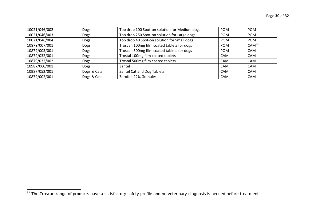| 10021/046/002 | Dogs        | Top drop 100 Spot-on solution for Medium dogs | <b>POM</b> | <b>POM</b>        |
|---------------|-------------|-----------------------------------------------|------------|-------------------|
| 10021/046/003 | Dogs        | Top drop 250 Spot-on solution for Large dogs  | <b>POM</b> | <b>POM</b>        |
| 10021/046/004 | Dogs        | Top drop 40 Spot-on solution for Small dogs   | <b>POM</b> | <b>POM</b>        |
| 10879/007/001 | Dogs        | Troscan 100mg film coated tablets for dogs    | <b>POM</b> | CAM <sup>31</sup> |
| 10879/003/001 | Dogs        | Troscan 500mg film coated tablets for dogs    | <b>POM</b> | <b>CAM</b>        |
| 10879/032/001 | <b>Dogs</b> | Trostal 100mg film coated tablets             | CAM        | <b>CAM</b>        |
| 10879/032/002 | Dogs        | Trostal 500mg film coated tablets             | <b>CAM</b> | CAM               |
| 10987/060/001 | Dogs        | Zantel                                        | CAM        | <b>CAM</b>        |
| 10987/052/001 | Dogs & Cats | Zantel Cat and Dog Tablets                    | <b>CAM</b> | <b>CAM</b>        |
| 10879/002/001 | Dogs & Cats | Zerofen 22% Granules                          | <b>CAM</b> | <b>CAM</b>        |

<span id="page-29-0"></span><sup>&</sup>lt;sup>31</sup> The Troscan range of products have a satisfactory safety profile and no veterinary diagnosis is needed before treatment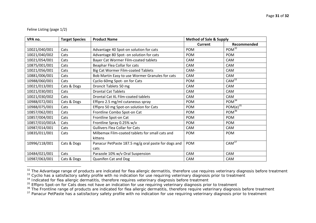#### Feline Listing (page 1/2)

| VPA no.        | <b>Target Species</b> | <b>Product Name</b>                                 | <b>Method of Sale &amp; Supply</b> |                       |
|----------------|-----------------------|-----------------------------------------------------|------------------------------------|-----------------------|
|                |                       |                                                     | <b>Current</b>                     | Recommended           |
| 10021/040/001  | Cats                  | Advantage 40 Spot-on solution for cats              | <b>POM</b>                         | POM <sup>32</sup>     |
| 10021/040/002  | Cats                  | Advantage 80 Spot- on solution for cats             | <b>POM</b>                         | <b>POM</b>            |
| 10021/054/001  | Cats                  | Bayer Cat Wormer Film-coated tablets                | CAM                                | <b>CAM</b>            |
| 10875/001/001  | Cats                  | Beaphar Flea Collar for cats                        | CAM                                | CAM                   |
| 10021/056/001  | Cats                  | <b>Big Cat Wormer Film-coated Tablets</b>           | CAM-                               | <b>CAM</b>            |
| 10881/006/001  | Cats                  | Bob Martin Easy to use Wormer Granules for cats     | CAM                                | <b>CAM</b>            |
| 10988/060/001  | Cats                  | Cyclio 60mg Spot- on for Cats                       | <b>POM</b>                         | $CAM^{\frac{33}{3}}$  |
| 10021/013/001  | Cats & Dogs           | Droncit Tablets 50 mg                               | CAM                                | CAM                   |
| 10021/030/001  | Cats                  | <b>Drontal Cat Tablets</b>                          | CAM                                | CAM                   |
| 10021/030/002  | Cats                  | Drontal Cat XL Film-coated tablets                  | <b>CAM</b>                         | CAM                   |
| 10988/072/001  | Cats & Dogs           | Effipro 2.5 mg/ml cutaneous spray                   | <b>POM</b>                         | POM <sup>34</sup>     |
| 10988/075/001  | Cats                  | Effipro 50 mg Spot-on solution for Cats             | <b>POM</b>                         | POM(e) $35$           |
| 10857/062/001  | Cats                  | Frontline Combo Spot-on Cat                         | <b>POM</b>                         | $POM^{36}$            |
| 10857/004/001  | Cats                  | Frontline Spot-on Cat                               | <b>POM</b>                         | POM                   |
| 10857/010/001A | Cats                  | Frontline Spray 0.25% w/v                           | <b>POM</b>                         | POM                   |
| 10987/014/001  | Cats                  | <b>Gullivers Flea Collar for Cats</b>               | CAM                                | CAM                   |
| 10835/011/001  | Cats                  | Milbemax Film-coated tablets for small cats and     | POM                                | <b>POM</b>            |
|                |                       | kittens                                             |                                    |                       |
| 10996/118/001  | Cats & Dogs           | Panacur PetPaste 187.5 mg/g oral paste for dogs and | POM                                | $CAM^{\overline{37}}$ |
|                |                       | cats                                                |                                    |                       |
| 10484/021/001  | Cats                  | Parazole 10% w/v Oral Suspension                    | CAM                                | CAM                   |
| 10987/063/001  | Cats & Dogs           | Quanifen Cat and Dog                                | CAM                                | CAM                   |

<span id="page-30-0"></span><sup>&</sup>lt;sup>32</sup> The Advantage range of products are indicated for flea allergic dermatitis, therefore use requires veterinary diagnosis before treatment

<span id="page-30-1"></span><sup>&</sup>lt;sup>33</sup> Cyclio has a satisfactory safety profile with no indication for use requiring veterinary diagnosis prior to treatment

<span id="page-30-2"></span><sup>&</sup>lt;sup>34</sup> Indicated for flea allergic dermatitis, therefore requires veterinary diagnosis before treatment

<span id="page-30-3"></span><sup>&</sup>lt;sup>35</sup> Effipro Spot-on for Cats does not have an indication for use requiring veterinary diagnosis prior to treatment

<span id="page-30-4"></span><sup>&</sup>lt;sup>36</sup> The Frontline range of products are indicated for flea allergic dermatitis, therefore require veterinary diagnosis before treatment

<span id="page-30-5"></span><sup>&</sup>lt;sup>37</sup> Panacur PetPaste has a satisfactory safety profile with no indication for use requiring veterinary diagnosis prior to treatment